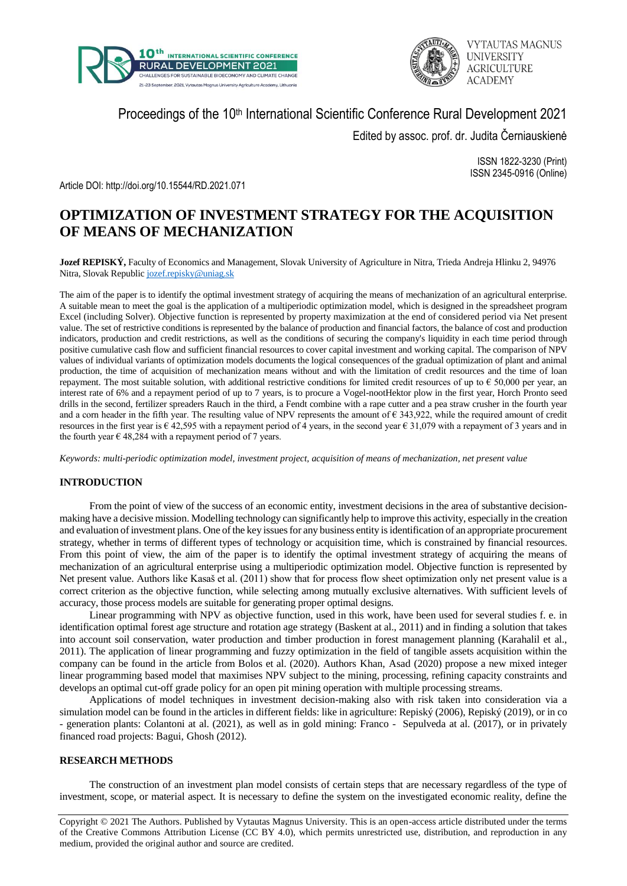



# Proceedings of the 10<sup>th</sup> International Scientific Conference Rural Development 2021

Edited by assoc. prof. dr. Judita Černiauskienė

ISSN 1822-3230 (Print) ISSN 2345-0916 (Online)

Article DOI: http://doi.org/10.15544/RD.2021.071

# **OPTIMIZATION OF INVESTMENT STRATEGY FOR THE ACQUISITION OF MEANS OF MECHANIZATION**

**Jozef REPISKÝ,** Faculty of Economics and Management, Slovak University of Agriculture in Nitra, Trieda Andreja Hlinku 2, 94976 Nitra, Slovak Republic [jozef.repisky@uniag.sk](mailto:jozef.repisky@uniag.sk)

The aim of the paper is to identify the optimal investment strategy of acquiring the means of mechanization of an agricultural enterprise. A suitable mean to meet the goal is the application of a multiperiodic optimization model, which is designed in the spreadsheet program Excel (including Solver). Objective function is represented by property maximization at the end of considered period via Net present value. The set of restrictive conditions is represented by the balance of production and financial factors, the balance of cost and production indicators, production and credit restrictions, as well as the conditions of securing the company's liquidity in each time period through positive cumulative cash flow and sufficient financial resources to cover capital investment and working capital. The comparison of NPV values of individual variants of optimization models documents the logical consequences of the gradual optimization of plant and animal production, the time of acquisition of mechanization means without and with the limitation of credit resources and the time of loan repayment. The most suitable solution, with additional restrictive conditions for limited credit resources of up to  $\epsilon$  50,000 per year, an interest rate of 6% and a repayment period of up to 7 years, is to procure a Vogel-nootHektor plow in the first year, Horch Pronto seed drills in the second, fertilizer spreaders Rauch in the third, a Fendt combine with a rape cutter and a pea straw crusher in the fourth year and a corn header in the fifth year. The resulting value of NPV represents the amount of  $\epsilon$  343,922, while the required amount of credit resources in the first year is € 42,595 with a repayment period of 4 years, in the second year € 31,079 with a repayment of 3 years and in the fourth year  $\epsilon$  48,284 with a repayment period of 7 years.

*Keywords: multi-periodic optimization model, investment project, acquisition of means of mechanization, net present value*

# **INTRODUCTION**

From the point of view of the success of an economic entity, investment decisions in the area of substantive decisionmaking have a decisive mission. Modelling technology can significantly help to improve this activity, especially in the creation and evaluation of investment plans. One of the key issues for any business entity is identification of an appropriate procurement strategy, whether in terms of different types of technology or acquisition time, which is constrained by financial resources. From this point of view, the aim of the paper is to identify the optimal investment strategy of acquiring the means of mechanization of an agricultural enterprise using a multiperiodic optimization model. Objective function is represented by Net present value. Authors like Kasaš et al. (2011) show that for process flow sheet optimization only net present value is a correct criterion as the objective function, while selecting among mutually exclusive alternatives. With sufficient levels of accuracy, those process models are suitable for generating proper optimal designs.

Linear programming with NPV as objective function, used in this work, have been used for several studies f. e. in identification optimal forest age structure and rotation age strategy (Baskent at al., 2011) and in finding a solution that takes into account soil conservation, water production and timber production in forest management planning (Karahalil et al., 2011). The application of linear programming and fuzzy optimization in the field of tangible assets acquisition within the company can be found in the article from Bolos et al. (2020). Authors [Khan, Asad \(2](https://www.webofscience.com/wos/author/record/16801044)020) propose a new mixed integer linear programming based model that maximises NPV subject to the mining, processing, refining capacity constraints and develops an optimal cut-off grade policy for an open pit mining operation with multiple processing streams.

Applications of model techniques in investment decision-making also with risk taken into consideration via a simulation model can be found in the articles in different fields: like in agriculture: Repiský (2006), Repiský (2019), or in co - generation plants: Colantoni at al. (2021), as well as in gold mining: Franco - Sepulveda at al. (2017), or in privately financed road projects: [Bagui, Ghosh](https://www.webofscience.com/wos/author/record/27176519) (2012).

#### **RESEARCH METHODS**

The construction of an investment plan model consists of certain steps that are necessary regardless of the type of investment, scope, or material aspect. It is necessary to define the system on the investigated economic reality, define the

Copyright © 2021 The Authors. Published by Vytautas Magnus University. This is an open-access article distributed under the terms of the Creative Commons Attribution License (CC BY 4.0), which permits unrestricted use, distribution, and reproduction in any medium, provided the original author and source are credited.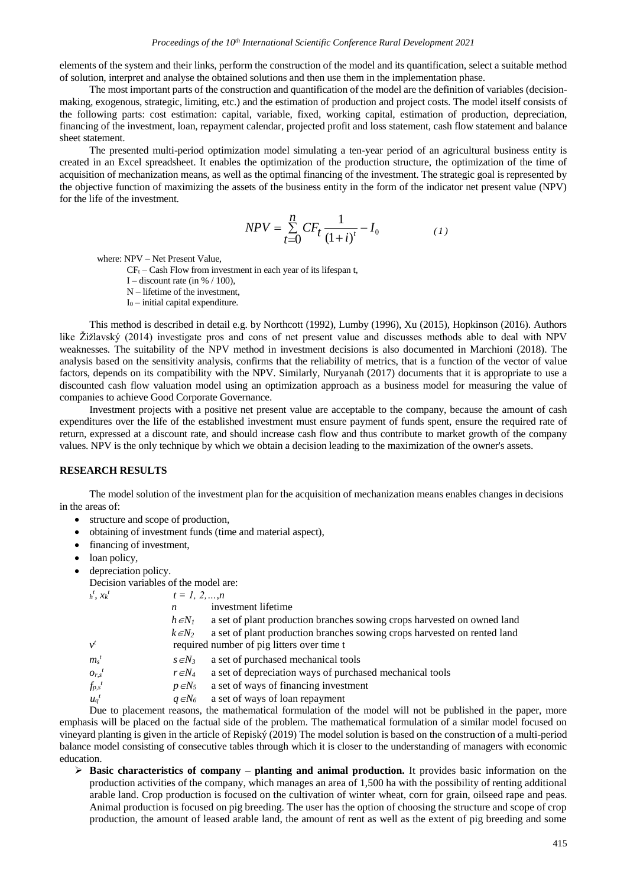elements of the system and their links, perform the construction of the model and its quantification, select a suitable method of solution, interpret and analyse the obtained solutions and then use them in the implementation phase.

The most important parts of the construction and quantification of the model are the definition of variables (decisionmaking, exogenous, strategic, limiting, etc.) and the estimation of production and project costs. The model itself consists of the following parts: cost estimation: capital, variable, fixed, working capital, estimation of production, depreciation, financing of the investment, loan, repayment calendar, projected profit and loss statement, cash flow statement and balance sheet statement.

The presented multi-period optimization model simulating a ten-year period of an agricultural business entity is created in an Excel spreadsheet. It enables the optimization of the production structure, the optimization of the time of acquisition of mechanization means, as well as the optimal financing of the investment. The strategic goal is represented by the objective function of maximizing the assets of the business entity in the form of the indicator net present value (NPV) for the life of the investment.

$$
NPV = \sum_{t=0}^{n} CF_t \frac{1}{(1+i)^t} - I_0 \tag{1}
$$

where: NPV – Net Present Value,

 $CF_t - Cash Flow from investment in each year of its lifespan t,$ 

I – discount rate (in  $\frac{6}{7}$  / 100),

N – lifetime of the investment,

I<sup>0</sup> – initial capital expenditure.

This method is described in detail e.g. by Northcott (1992), Lumby (1996), Xu (2015), Hopkinson (2016). Authors like Žižlavský (2014) investigate pros and cons of net present value and discusses methods able to deal with NPV weaknesses. The suitability of the NPV method in investment decisions is also documented in Marchioni (2018). The analysis based on the sensitivity analysis, confirms that the reliability of metrics, that is a function of the vector of value factors, depends on its compatibility with the NPV. Similarly, Nuryanah (2017) documents that it is appropriate to use a discounted cash flow valuation model using an optimization approach as a business model for measuring the value of companies to achieve Good Corporate Governance.

Investment projects with a positive net present value are acceptable to the company, because the amount of cash expenditures over the life of the established investment must ensure payment of funds spent, ensure the required rate of return, expressed at a discount rate, and should increase cash flow and thus contribute to market growth of the company values. NPV is the only technique by which we obtain a decision leading to the maximization of the owner's assets.

### **RESEARCH RESULTS**

The model solution of the investment plan for the acquisition of mechanization means enables changes in decisions in the areas of:

- structure and scope of production,
- obtaining of investment funds (time and material aspect),
- financing of investment,
- loan policy,
- depreciation policy.

Decision variables of the model are:

| $h^t$ , $X_k^t$        |                                            | $t = 1, 2, , n$                                                          |  |  |
|------------------------|--------------------------------------------|--------------------------------------------------------------------------|--|--|
|                        | $\boldsymbol{n}$                           | investment lifetime                                                      |  |  |
|                        | $h \in N_I$                                | a set of plant production branches sowing crops harvested on owned land  |  |  |
|                        | $k \in N_2$                                | a set of plant production branches sowing crops harvested on rented land |  |  |
| $v^{t}$                | required number of pig litters over time t |                                                                          |  |  |
| $m_{s}^{t}$            | $s \in N_3$                                | a set of purchased mechanical tools                                      |  |  |
| $O_{r,s}$ <sup>t</sup> | $r \in N_4$                                | a set of depreciation ways of purchased mechanical tools                 |  |  |
| $f_{p,s}^{\t t}$       | $p \in N_5$                                | a set of ways of financing investment                                    |  |  |
| $u_q^t$                | $q \in N_6$                                | a set of ways of loan repayment                                          |  |  |
|                        |                                            |                                                                          |  |  |

Due to placement reasons, the mathematical formulation of the model will not be published in the paper, more emphasis will be placed on the factual side of the problem. The mathematical formulation of a similar model focused on vineyard planting is given in the article of Repiský (2019) The model solution is based on the construction of a multi-period balance model consisting of consecutive tables through which it is closer to the understanding of managers with economic education.

 **Basic characteristics of company – planting and animal production.** It provides basic information on the production activities of the company, which manages an area of 1,500 ha with the possibility of renting additional arable land. Crop production is focused on the cultivation of winter wheat, corn for grain, oilseed rape and peas. Animal production is focused on pig breeding. The user has the option of choosing the structure and scope of crop production, the amount of leased arable land, the amount of rent as well as the extent of pig breeding and some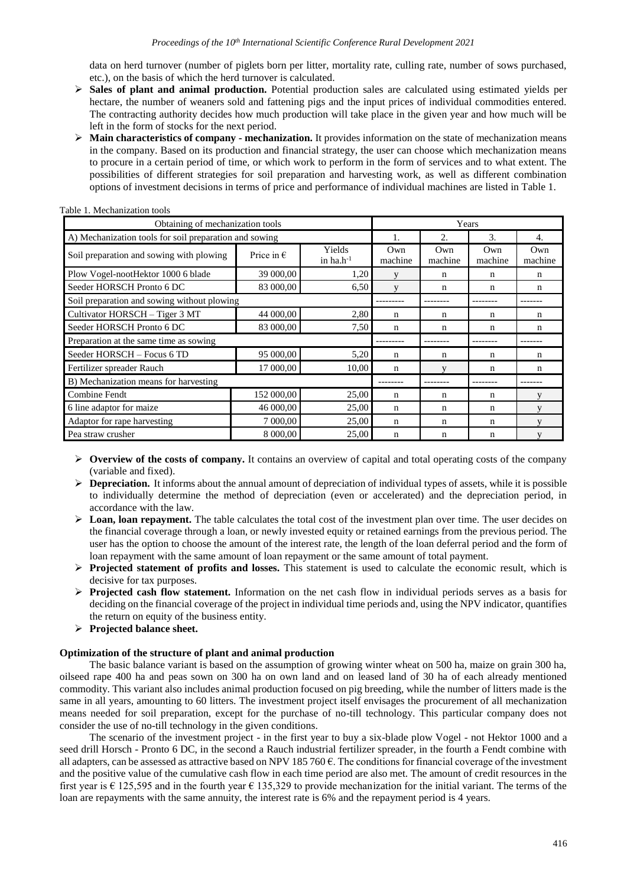data on herd turnover (number of piglets born per litter, mortality rate, culling rate, number of sows purchased, etc.), on the basis of which the herd turnover is calculated.

- **Sales of plant and animal production.** Potential production sales are calculated using estimated yields per hectare, the number of weaners sold and fattening pigs and the input prices of individual commodities entered. The contracting authority decides how much production will take place in the given year and how much will be left in the form of stocks for the next period.
- **Main characteristics of company - mechanization.** It provides information on the state of mechanization means in the company. Based on its production and financial strategy, the user can choose which mechanization means to procure in a certain period of time, or which work to perform in the form of services and to what extent. The possibilities of different strategies for soil preparation and harvesting work, as well as different combination options of investment decisions in terms of price and performance of individual machines are listed in Table 1.

| Obtaining of mechanization tools                       |                     |                          |                | Years                   |                   |                |  |
|--------------------------------------------------------|---------------------|--------------------------|----------------|-------------------------|-------------------|----------------|--|
| A) Mechanization tools for soil preparation and sowing |                     |                          |                | 2.                      | $\mathcal{F}$     | 4.             |  |
| Soil preparation and sowing with plowing               | Price in $\epsilon$ | Yields<br>in $ha.h^{-1}$ | Own<br>machine | Own<br>machine          | $Qw$ n<br>machine | Own<br>machine |  |
| Plow Vogel-nootHektor 1000 6 blade                     | 39 000,00           | 1,20                     | V              | n                       | n                 | $\mathbf n$    |  |
| Seeder HORSCH Pronto 6 DC                              | 83 000,00           | 6,50                     | V              | n                       | n                 | n              |  |
| Soil preparation and sowing without plowing            |                     |                          |                |                         |                   |                |  |
| Cultivator HORSCH - Tiger 3 MT                         | 44 000,00           | 2,80                     | n              | n                       | $\mathbf n$       | $\mathbf n$    |  |
| Seeder HORSCH Pronto 6 DC                              | 83 000,00           | 7,50                     | $\mathbf n$    | n                       | n                 | $\mathbf n$    |  |
| Preparation at the same time as sowing                 |                     |                          |                |                         |                   |                |  |
| Seeder HORSCH - Focus 6 TD                             | 95 000,00           | 5,20                     | $\mathbf n$    | n                       | n                 | n              |  |
| Fertilizer spreader Rauch                              | 17 000,00           | 10.00                    | $\mathbf n$    | $\overline{\mathbf{V}}$ | $\mathbf n$       | $\mathbf n$    |  |
| B) Mechanization means for harvesting                  |                     |                          |                |                         |                   |                |  |
| Combine Fendt                                          | 152 000,00          | 25,00                    | $\mathbf n$    | n                       | $\mathbf n$       | V              |  |
| 6 line adaptor for maize                               | 46 000,00           | 25,00                    | $\mathbf n$    | n                       | n                 |                |  |
| Adaptor for rape harvesting                            | 7 000,00            | 25,00                    | n              | n                       | n                 | V              |  |
| Pea straw crusher                                      | 8 000,00            | 25,00                    | $\mathbf n$    | n                       | n                 |                |  |

Table 1. Mechanization tools

- $\triangleright$  **Overview of the costs of company.** It contains an overview of capital and total operating costs of the company (variable and fixed).
- $\triangleright$  **Depreciation.** It informs about the annual amount of depreciation of individual types of assets, while it is possible to individually determine the method of depreciation (even or accelerated) and the depreciation period, in accordance with the law.
- **Loan, loan repayment.** The table calculates the total cost of the investment plan over time. The user decides on the financial coverage through a loan, or newly invested equity or retained earnings from the previous period. The user has the option to choose the amount of the interest rate, the length of the loan deferral period and the form of loan repayment with the same amount of loan repayment or the same amount of total payment.
- **Projected statement of profits and losses.** This statement is used to calculate the economic result, which is decisive for tax purposes.
- **Projected cash flow statement.** Information on the net cash flow in individual periods serves as a basis for deciding on the financial coverage of the project in individual time periods and, using the NPV indicator, quantifies the return on equity of the business entity.
- **Projected balance sheet.**

# **Optimization of the structure of plant and animal production**

The basic balance variant is based on the assumption of growing winter wheat on 500 ha, maize on grain 300 ha, oilseed rape 400 ha and peas sown on 300 ha on own land and on leased land of 30 ha of each already mentioned commodity. This variant also includes animal production focused on pig breeding, while the number of litters made is the same in all years, amounting to 60 litters. The investment project itself envisages the procurement of all mechanization means needed for soil preparation, except for the purchase of no-till technology. This particular company does not consider the use of no-till technology in the given conditions.

The scenario of the investment project - in the first year to buy a six-blade plow Vogel - not Hektor 1000 and a seed drill Horsch - Pronto 6 DC, in the second a Rauch industrial fertilizer spreader, in the fourth a Fendt combine with all adapters, can be assessed as attractive based on NPV 185 760  $\epsilon$ . The conditions for financial coverage of the investment and the positive value of the cumulative cash flow in each time period are also met. The amount of credit resources in the first year is  $\epsilon$  125,595 and in the fourth year  $\epsilon$  135,329 to provide mechanization for the initial variant. The terms of the loan are repayments with the same annuity, the interest rate is 6% and the repayment period is 4 years.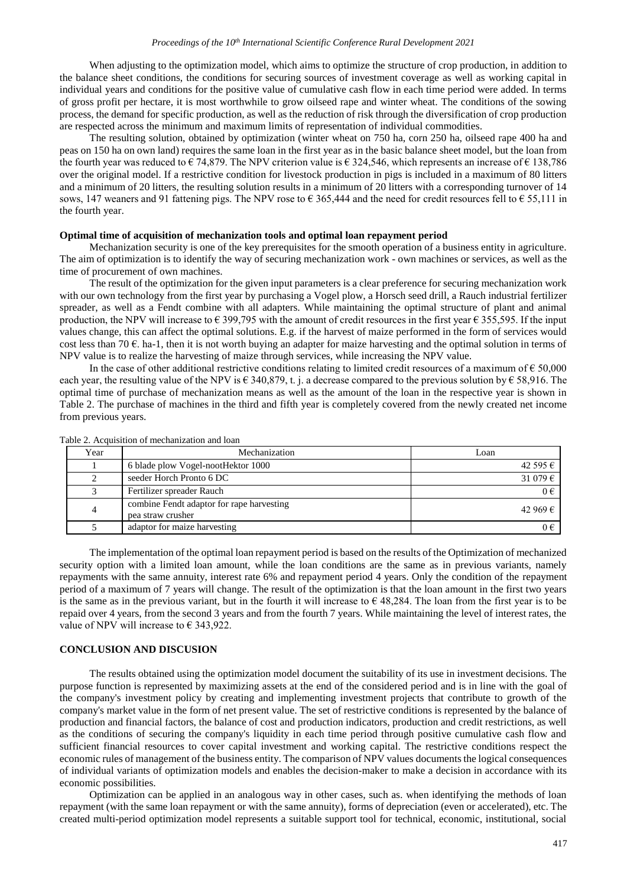When adjusting to the optimization model, which aims to optimize the structure of crop production, in addition to the balance sheet conditions, the conditions for securing sources of investment coverage as well as working capital in individual years and conditions for the positive value of cumulative cash flow in each time period were added. In terms of gross profit per hectare, it is most worthwhile to grow oilseed rape and winter wheat. The conditions of the sowing process, the demand for specific production, as well as the reduction of risk through the diversification of crop production are respected across the minimum and maximum limits of representation of individual commodities.

The resulting solution, obtained by optimization (winter wheat on 750 ha, corn 250 ha, oilseed rape 400 ha and peas on 150 ha on own land) requires the same loan in the first year as in the basic balance sheet model, but the loan from the fourth year was reduced to  $\epsilon$  74,879. The NPV criterion value is  $\epsilon$  324,546, which represents an increase of  $\epsilon$  138,786 over the original model. If a restrictive condition for livestock production in pigs is included in a maximum of 80 litters and a minimum of 20 litters, the resulting solution results in a minimum of 20 litters with a corresponding turnover of 14 sows, 147 weaners and 91 fattening pigs. The NPV rose to  $\epsilon$  365,444 and the need for credit resources fell to  $\epsilon$  55,111 in the fourth year.

### **Optimal time of acquisition of mechanization tools and optimal loan repayment period**

Mechanization security is one of the key prerequisites for the smooth operation of a business entity in agriculture. The aim of optimization is to identify the way of securing mechanization work - own machines or services, as well as the time of procurement of own machines.

The result of the optimization for the given input parameters is a clear preference for securing mechanization work with our own technology from the first year by purchasing a Vogel plow, a Horsch seed drill, a Rauch industrial fertilizer spreader, as well as a Fendt combine with all adapters. While maintaining the optimal structure of plant and animal production, the NPV will increase to  $\epsilon$  399,795 with the amount of credit resources in the first year  $\epsilon$  355,595. If the input values change, this can affect the optimal solutions. E.g. if the harvest of maize performed in the form of services would cost less than 70  $\epsilon$ . ha-1, then it is not worth buying an adapter for maize harvesting and the optimal solution in terms of NPV value is to realize the harvesting of maize through services, while increasing the NPV value.

In the case of other additional restrictive conditions relating to limited credit resources of a maximum of  $\epsilon$  50,000 each year, the resulting value of the NPV is  $\epsilon$  340,879, t. j. a decrease compared to the previous solution by  $\epsilon$  58,916. The optimal time of purchase of mechanization means as well as the amount of the loan in the respective year is shown in Table 2. The purchase of machines in the third and fifth year is completely covered from the newly created net income from previous years.

| Year | Mechanization                                                  | Loan              |
|------|----------------------------------------------------------------|-------------------|
|      | 6 blade plow Vogel-nootHektor 1000                             | 42595€            |
|      | seeder Horch Pronto 6 DC                                       | 31 079 $\epsilon$ |
|      | Fertilizer spreader Rauch                                      | $0 \in$           |
| 4    | combine Fendt adaptor for rape harvesting<br>pea straw crusher | 42969€            |
|      | adaptor for maize harvesting                                   |                   |

#### Table 2. Acquisition of mechanization and loan

The implementation of the optimal loan repayment period is based on the results of the Optimization of mechanized security option with a limited loan amount, while the loan conditions are the same as in previous variants, namely repayments with the same annuity, interest rate 6% and repayment period 4 years. Only the condition of the repayment period of a maximum of 7 years will change. The result of the optimization is that the loan amount in the first two years is the same as in the previous variant, but in the fourth it will increase to  $\epsilon$  48,284. The loan from the first year is to be repaid over 4 years, from the second 3 years and from the fourth 7 years. While maintaining the level of interest rates, the value of NPV will increase to  $\epsilon$  343,922.

# **CONCLUSION AND DISCUSION**

The results obtained using the optimization model document the suitability of its use in investment decisions. The purpose function is represented by maximizing assets at the end of the considered period and is in line with the goal of the company's investment policy by creating and implementing investment projects that contribute to growth of the company's market value in the form of net present value. The set of restrictive conditions is represented by the balance of production and financial factors, the balance of cost and production indicators, production and credit restrictions, as well as the conditions of securing the company's liquidity in each time period through positive cumulative cash flow and sufficient financial resources to cover capital investment and working capital. The restrictive conditions respect the economic rules of management of the business entity. The comparison of NPV values documents the logical consequences of individual variants of optimization models and enables the decision-maker to make a decision in accordance with its economic possibilities.

Optimization can be applied in an analogous way in other cases, such as. when identifying the methods of loan repayment (with the same loan repayment or with the same annuity), forms of depreciation (even or accelerated), etc. The created multi-period optimization model represents a suitable support tool for technical, economic, institutional, social